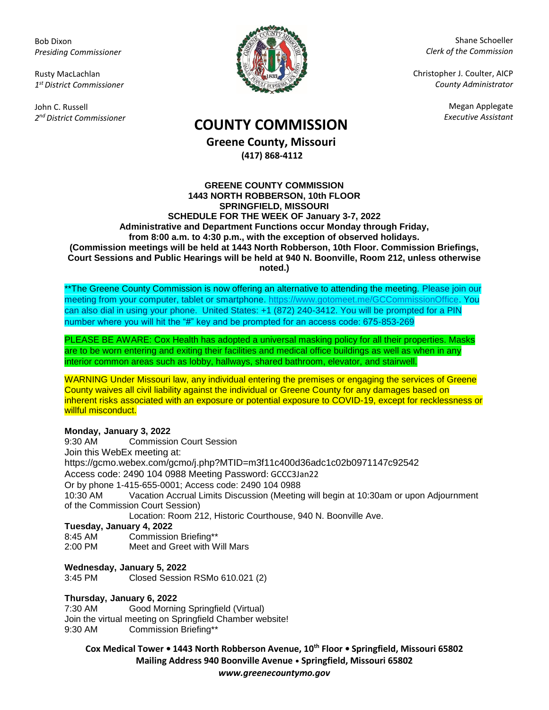Bob Dixon *Presiding Commissioner*

Rusty MacLachlan *1 st District Commissioner*

John C. Russell *2 nd District Commissioner*



Shane Schoeller *Clerk of the Commission*

Christopher J. Coulter, AICP *County Administrator*

Megan Applegate

# *Executive Assistant* **COUNTY COMMISSION**

**Greene County, Missouri (417) 868-4112**

#### **GREENE COUNTY COMMISSION 1443 NORTH ROBBERSON, 10th FLOOR SPRINGFIELD, MISSOURI SCHEDULE FOR THE WEEK OF January 3-7, 2022 Administrative and Department Functions occur Monday through Friday, from 8:00 a.m. to 4:30 p.m., with the exception of observed holidays. (Commission meetings will be held at 1443 North Robberson, 10th Floor. Commission Briefings, Court Sessions and Public Hearings will be held at 940 N. Boonville, Room 212, unless otherwise noted.)**

\*\*The Greene County Commission is now offering an alternative to attending the meeting. Please join our meeting from your computer, tablet or smartphone. [https://www.gotomeet.me/GCCommissionOffice.](https://www.gotomeet.me/GCCommissionOffice) You can also dial in using your phone. United States: +1 (872) 240-3412. You will be prompted for a PIN number where you will hit the "#" key and be prompted for an access code: 675-853-269

PLEASE BE AWARE: Cox Health has adopted a universal masking policy for all their properties. Masks are to be worn entering and exiting their facilities and medical office buildings as well as when in any interior common areas such as lobby, hallways, shared bathroom, elevator, and stairwell.

WARNING Under Missouri law, any individual entering the premises or engaging the services of Greene County waives all civil liability against the individual or Greene County for any damages based on inherent risks associated with an exposure or potential exposure to COVID-19, except for recklessness or willful misconduct.

# **Monday, January 3, 2022**

9:30 AM Commission Court Session Join this WebEx meeting at: https://gcmo.webex.com/gcmo/j.php?MTID=m3f11c400d36adc1c02b0971147c92542 Access code: 2490 104 0988 Meeting Password: GCCC3Jan22 Or by phone 1-415-655-0001; Access code: 2490 104 0988 10:30 AM Vacation Accrual Limits Discussion (Meeting will begin at 10:30am or upon Adjournment of the Commission Court Session) Location: Room 212, Historic Courthouse, 940 N. Boonville Ave.

# **Tuesday, January 4, 2022**

- 8:45 AM Commission Briefing\*\*
- 2:00 PM Meet and Greet with Will Mars

# **Wednesday, January 5, 2022**

3:45 PM Closed Session RSMo 610.021 (2)

#### **Thursday, January 6, 2022**

7:30 AM Good Morning Springfield (Virtual) Join the virtual meeting on Springfield Chamber website! 9:30 AM Commission Briefing\*\*

**Cox Medical Tower • 1443 North Robberson Avenue, 10th Floor • Springfield, Missouri 65802 Mailing Address 940 Boonville Avenue • Springfield, Missouri 65802**

*www.greenecountymo.gov*